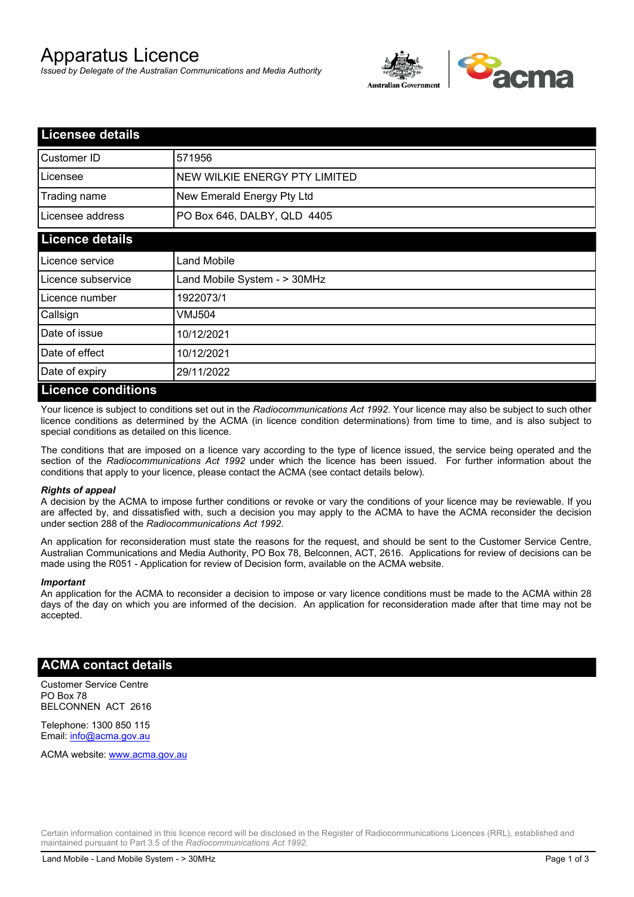# Apparatus Licence

*Issued by Delegate of the Australian Communications and Media Authority*



| <b>Licensee details</b> |                               |  |
|-------------------------|-------------------------------|--|
| <b>Customer ID</b>      | 571956                        |  |
| Licensee                | NEW WILKIE ENERGY PTY LIMITED |  |
| Trading name            | New Emerald Energy Pty Ltd    |  |
| Licensee address        | PO Box 646, DALBY, QLD 4405   |  |
| <b>Licence details</b>  |                               |  |
| Licence service         | Land Mobile                   |  |
| Licence subservice      | Land Mobile System - > 30MHz  |  |
| Licence number          | 1922073/1                     |  |
| Callsign                | VMJ504                        |  |
| Date of issue           | 10/12/2021                    |  |
| Date of effect          | 10/12/2021                    |  |
| Date of expiry          | 29/11/2022                    |  |
| Liaanaa aanditiana      |                               |  |

#### **Licence conditions**

Your licence is subject to conditions set out in the *Radiocommunications Act 1992*. Your licence may also be subject to such other licence conditions as determined by the ACMA (in licence condition determinations) from time to time, and is also subject to special conditions as detailed on this licence.

The conditions that are imposed on a licence vary according to the type of licence issued, the service being operated and the section of the *Radiocommunications Act 1992* under which the licence has been issued. For further information about the conditions that apply to your licence, please contact the ACMA (see contact details below).

#### *Rights of appeal*

A decision by the ACMA to impose further conditions or revoke or vary the conditions of your licence may be reviewable. If you are affected by, and dissatisfied with, such a decision you may apply to the ACMA to have the ACMA reconsider the decision under section 288 of the *Radiocommunications Act 1992*.

An application for reconsideration must state the reasons for the request, and should be sent to the Customer Service Centre, Australian Communications and Media Authority, PO Box 78, Belconnen, ACT, 2616. Applications for review of decisions can be made using the R051 - Application for review of Decision form, available on the ACMA website.

#### *Important*

An application for the ACMA to reconsider a decision to impose or vary licence conditions must be made to the ACMA within 28 days of the day on which you are informed of the decision. An application for reconsideration made after that time may not be accepted.

#### **ACMA contact details**

Customer Service Centre PO Box 78 BELCONNEN ACT 2616

Telephone: 1300 850 115 Email: info@acma.gov.au

ACMA website: www.acma.gov.au

Certain information contained in this licence record will be disclosed in the Register of Radiocommunications Licences (RRL), established and maintained pursuant to Part 3.5 of the *Radiocommunications Act 1992.*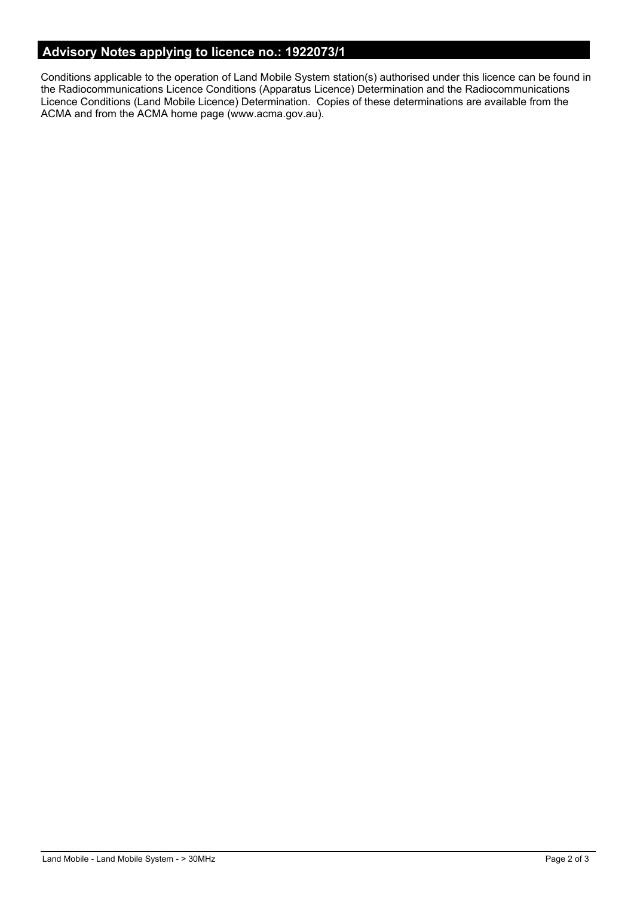## **Advisory Notes applying to licence no.: 1922073/1**

Conditions applicable to the operation of Land Mobile System station(s) authorised under this licence can be found in the Radiocommunications Licence Conditions (Apparatus Licence) Determination and the Radiocommunications Licence Conditions (Land Mobile Licence) Determination. Copies of these determinations are available from the ACMA and from the ACMA home page (www.acma.gov.au).